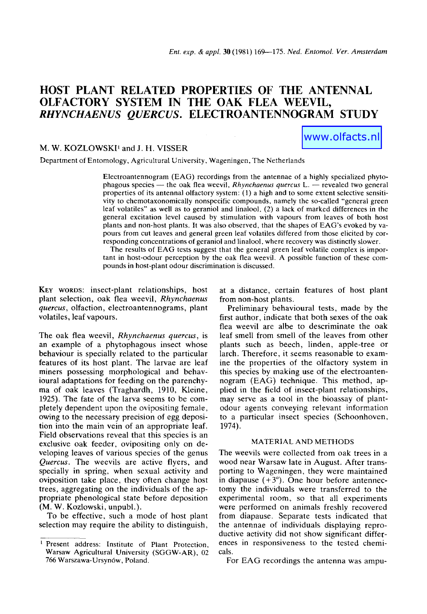# **HOST PLANT RELATED PROPERTIES OF THE ANTENNAL OLFACTORY SYSTEM IN THE OAK FLEA WEEVIL,**  *RHYNCHAENUS QUERCUS.* **ELECTROANTENNOGRAM STUDY**

# M. W. KOZLOWSKI<sup>1</sup> and J. H. VISSER

www.olfacts.nl

Department of Entomology, Agricultural University, Wageningen, The Netherlands

Electroantennogram (EAG) recordings from the antennae of a highly specialized phytophagous species -- the oak flea weevil, *Rhynchaenus quercus* L. -- revealed two general properties of its antennal olfactory system: (1) a high and to some extent selective sensitivity to chemotaxonomically nonspecific compounds, namely the so-called "general green leaf volatiles" as well as to geraniol and linalool, (2) a lack of marked differences in the general excitation level caused by stimulation with vapours from leaves of both host plants and non-host plants. It was also observed, that the shapes of EAG's evoked by vapours from cut leaves and general green leaf volatiles differed from those elicited by corresponding concentrations of geraniol and linalool, where recovery was distinctly slower.

The results of EAG tests suggest that the general green leaf volatile complex is important in host-odour perception by the oak flea weevil. A possible function of these compounds in host-plant odour discrimination is discussed.

**KEY WORDS:** insect-plant relationships, host plant selection, oak flea weevil, *Rhynchaenus quercus,* olfaction, electroantennograms, plant volatiles, leaf vapours.

The oak flea weevil, *Rhynchaenus quercus,* is an example of a phytophagous insect whose behaviour is specially related to the particular features of its host plant. The larvae are leaf miners possessing morphological and behavioural adaptations for feeding on the parenchyma of oak leaves (Traghardh, 1910, Kleine, 1925). The fate of the larva seems to be completely dependent upon the ovipositing female, owing to the necessary precision of egg deposition into the main vein of an appropriate leaf. Field observations reveal that this species is an exclusive oak feeder, ovipositing only on developing leaves of various species of the genus *Quercus.* The weevils are active flyers, and specially in spring, when sexual activity and oviposition take place, they often change host trees, aggregating on the individuals of the appropriate phenological state before deposition (M. W. Kozlowski, unpubl.).

To be effective, such a mode of host plant selection may require the ability to distinguish,

at a distance, certain features of host plant from non-host plants.

Preliminary behavioural tests, made by the first author, indicate that both sexes of the oak flea weevil are albe to descriminate the oak leaf smell from smell of the leaves from other plants such as beech, linden, apple-tree or larch. Therefore, it seems reasonable to examine the properties of the olfactory system in this species by making use of the electroantennogram (EAG) technique. This method, applied in the field of insect-plant relationships, may serve as a tool in the bioassay of plantodour agents conveying relevant information to a particular insect species (Schoonhoven, 1974).

### MATERIAL AND METHODS

The weevils were collected from oak trees in a wood near Warsaw late in August. After transporting to Wageningen, they were maintained in diapause  $(+3^{\circ})$ . One hour before antennectomy the individuals were transferred to the experimental room, so that all experiments were performed on animals freshly recovered from diapause. Separate tests indicated that the antennae of individuals displaying reproductive activity did not show significant differences in responsiveness to the tested chemicals.

For EAG recordings the antenna was ampu-

<sup>&</sup>lt;sup>1</sup> Present address: Institute of Plant Protection, Warsaw Agricultural University (SGGW-AR), 02 766 Warszawa-Ursyn6w, Poland.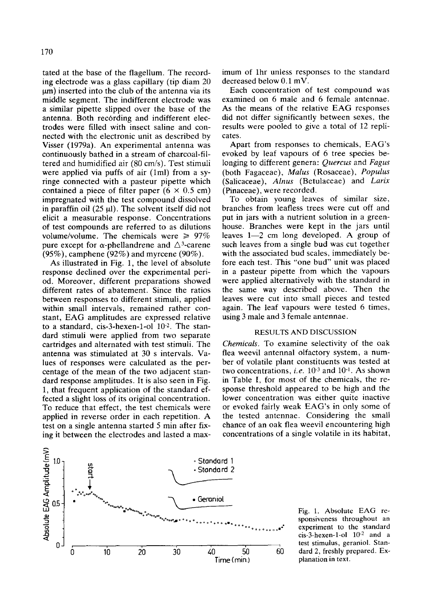tated at the base of the flagellum. The recording electrode was a glass capillary (tip diam 20  ${um}$ ) inserted into the club of the antenna via its middle segment. The indifferent electrode was a similar pipette slipped over the base of the antenna. Both recording and indifferent electrodes were filled with insect saline and connected with the electronic unit as described by Visser (1979a). An experimental antenna was continuously bathed in a stream of charcoal-filtered and humidified air (80 cm/s). Test stimuli were applied via puffs of air (lml) from a syringe connected with a pasteur pipette which contained a piece of filter paper  $(6 \times 0.5 \text{ cm})$ impregnated with the test compound dissolved in paraffin oil  $(25 \text{ ul})$ . The solvent itself did not elicit a measurable response. Concentrations of test compounds are referred to as dilutions volume/volume. The chemicals were  $\geq 97\%$ pure except for  $\alpha$ -phellandrene and  $\Delta$ <sup>3</sup>-carene  $(95\%)$ , camphene  $(92\%)$  and myrcene  $(90\%)$ .

As illustrated in Fig. 1, the level of absolute response declined over the experimental period. Moreover, different preparations showed different rates of abatement. Since the ratios between responses to different stimuli, applied within small intervals, remained rather constant, EAG amplitudes are expressed relative to a standard, cis-3-hexen-1-ol  $10^{-2}$ . The standard stimuli were applied from two separate cartridges and alternated with test stimuli. The antenna was stimulated at 30 s intervals. Values of responses were calculated as the percentage of the mean of the two adjacent standard response amplitudes. It is also seen in Fig. 1, that frequent application of the standard effected a slight loss of its original concentration. To reduce that effect, the test chemicals were applied in reverse order in each repetition. A test on a single antenna started 5 min after fixing it between the electrodes and lasted a maximum of lhr unless responses to the standard decreased below 0.1 mV.

Each concentration of test compound was examined on 6 male and 6 female antennae. As the means of the relative EAG responses did not differ significantly between sexes, the results were pooled to give a total of 12 replicates.

Apart from responses to chemicals, EAG's evoked by leaf vapours of 6 tree species belonging to different genera: *Quercus* and *Fagus*  (both Fagaceae), *Malus* (Rosaceae), *Populus*  (Salicaceae), *Alnus* (Betulaceae) and *Larix*  (Pinaceae), were recorded.

To obtain young leaves of similar size, branches from leafless trees were cut off and put in jars with a nutrient solution in a greenhouse. Branches were kept in the jars until leaves  $1-2$  cm long developed. A group of such leaves from a single bud was cut together with the associated bud scales, immediately before each test. This "one bud" unit was placed in a pasteur pipette from which the vapours were applied alternatively with the standard in the same way described above. Then the leaves were cut into small pieces and tested again. The leaf vapours were tested 6 times, using 3 male and 3 female antennae.

# RESULTS AND DISCUSSION

*Chemicals.* To examine selectivity of the oak flea weevil antennal olfactory system, a number of volatile plant constituents was tested at two concentrations, *i.e.*  $10^{-3}$  and  $10^{-1}$ . As shown in Table I, for most of the chemicals, the response threshold appeared to be high and the lower concentration was either quite inactive or evoked fairly weak EAG's in only some of the tested antennae. Considering the small chance of an oak flea weevil encountering high concentrations of a single volatile in its habitat,



Fig. 1. Absolute EAG responsiveness throughout an experiment to the standard  $cis-3$ -hexen-1-ol  $10^{-2}$  and a test stimulus, geraniol. Standard 2, freshly prepared. Explanation in text.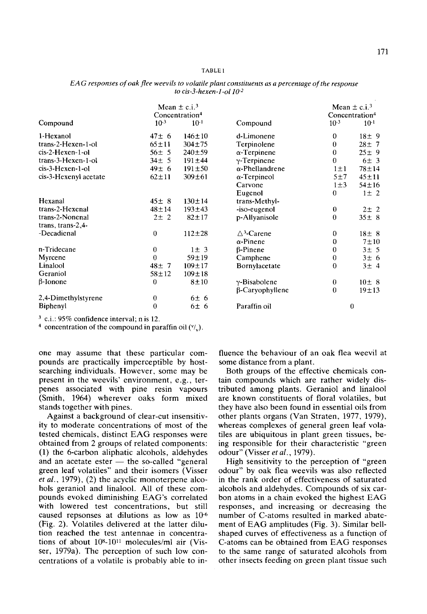#### TABLE 1

|                       | Mean $\pm$ c.i. <sup>3</sup><br>Concentration <sup>4</sup> |              |                                  | Mean $\pm$ c.i. <sup>3</sup><br>Concentration <sup>4</sup> |             |
|-----------------------|------------------------------------------------------------|--------------|----------------------------------|------------------------------------------------------------|-------------|
| Compound              | $10^{-3}$                                                  | $10^{-1}$    | Compound                         | $10^{-3}$                                                  | $10^{-1}$   |
| 1-Hexanol             | $47 \pm 6$                                                 | $146 \pm 10$ | d-Limonene                       | $\theta$                                                   | $18\pm9$    |
| trans-2-Hexen-1-ol    | $65 + 11$                                                  | $304 + 75$   | Terpinolene                      | $\bf{0}$                                                   | $28 \pm 7$  |
| $cis-2$ -Hexen-1-ol   | $56 \pm 5$                                                 | $240 \pm 59$ | $\alpha$ -Terpinene              | $\mathbf 0$                                                | 25±9        |
| trans-3-Hexen-1-ol    | $34 \pm 5$                                                 | $191 \pm 44$ | $v$ -Terpinene                   | $\theta$                                                   | 6±3         |
| cis-3-Hexen-1-ol      | $49 \pm 6$                                                 | $191 \pm 50$ | $\alpha$ -Phellandrene           | $1 \pm 1$                                                  | $78 + 14$   |
| cis-3-Hexenyl acetate | $62 \pm 11$                                                | $309 \pm 61$ | $\alpha$ -Terpineol              | 5±7                                                        | $45 + 11$   |
|                       |                                                            |              | Carvone                          | $1\pm3$                                                    | $54 \pm 16$ |
|                       |                                                            |              | Eugenol                          | $\mathbf 0$                                                | $1 \pm 2$   |
| Hexanal               | $45 \pm 8$                                                 | $130 + 14$   | trans-Methyl-                    |                                                            |             |
| trans-2-Hexenal       | $48 + 14$                                                  | $193 + 43$   | -iso-eugenol                     | $\bf{0}$                                                   | $2\pm 2$    |
| trans-2-Nonenal       | $2\pm 2$                                                   | $82 + 17$    | p-Allyanisole                    | $\theta$                                                   | $35 \pm 8$  |
| trans, trans-2,4-     |                                                            |              |                                  |                                                            |             |
| -Decadienal           | $\bf{0}$                                                   | $112 + 28$   | $\triangle$ <sup>3</sup> -Carene | 0                                                          | $18\pm 8$   |
|                       |                                                            |              | $\alpha$ -Pinene                 | 0                                                          | $7\pm10$    |
| n-Tridecane           | $\bf{0}$                                                   | $1 \pm 3$    | $\beta$ -Pinene                  | 0                                                          | 3±5         |
| Myrcene               | $\Omega$                                                   | $59 + 19$    | Camphene                         | $\theta$                                                   | 3±6         |
| Linalool              | $48 \pm 7$                                                 | $109 + 17$   | Bornylacetate                    | $\theta$                                                   | 3±4         |
| Geraniol              | $58 + 12$                                                  | $109 + 18$   |                                  |                                                            |             |
| $\beta$ -Ionone       | $\bf{0}$                                                   | $8 + 10$     | y-Bisabolene                     | $\bf{0}$                                                   | $10 \pm 8$  |
|                       |                                                            |              | β-Caryophyllene                  | $\theta$                                                   | $19 + 13$   |
| 2,4-Dimethylstyrene   | $\bf{0}$                                                   | 6±6          |                                  |                                                            |             |
| Biphenyl              | $\theta$                                                   | 6±6          | Paraffin oil                     | $\boldsymbol{0}$                                           |             |

*EA G responses of oak flee weevils to volatile plant constituents as a percentage of the response to cis-3-hexen-l-o110 .2* 

 $3$  c.i.: 95% confidence interval; n is 12.

<sup>4</sup> concentration of the compound in paraffin oil  $(V_v)$ .

one may assume that these particular compounds are practically imperceptible by hostsearching individuals. However, some may be present in the weevils' environment, e.g., terpenes associated with pine resin vapours (Smith, 1964) wherever oaks form mixed stands together with pines.

Against a background of clear-cut insensitivity to moderate concentrations of most of the tested chemicals, distinct EAG responses were obtained from 2 groups of related components: (1) the 6-carbon aliphatic alcohols, aldehydes and an acetate ester  $-$  the so-called "general green leaf volatiles" and their isomers (Visser *et al.,* 1979), (2) the acyclic monoterpene alcohols geraniol and linalool. All of these compounds evoked diminishing EAG's correlated with lowered test concentrations, but still caused repsonses at dilutions as low as  $10<sup>-6</sup>$ (Fig. 2). Volatiles delivered at the latter dilution reached the test antennae in concentrations of about 108-1011 molecules/ml air (Visser, 1979a). The perception of such low concentrations of a volatile is probably able to in-

fluence the behaviour of an oak flea weevil at some distance from a plant.

Both groups of the effective chemicals contain compounds which are rather widely distributed among plants. Geraniol and linalool are known constituents of floral volatiles, but they have also been found in essential oils from other plants organs (Van Straten, 1977, 1979), whereas complexes of general green leaf volatiles are ubiquitous in plant green tissues, being responsible for their characteristic "green odour" (Visser *et al.,* 1979).

High sensitivity to the perception of "green odour" by oak flea weevils was also reflected in the rank order of effectiveness of saturated alcohols and aldehydes. Compounds of six carbon atoms in a chain evoked the highest EAG responses, and increasing or decreasing the number of C-atoms resulted in marked abatement of EAG amplitudes (Fig. 3). Similar bellshaped curves of effectiveness as a function of C-atoms can be obtained from EAG responses to the same range of saturated alcohols from other insects feeding on green plant tissue such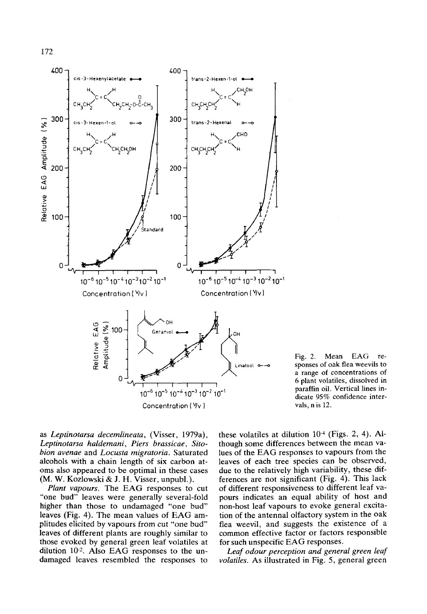

Fig. 2. Mean EAG responses of oak flea weevils to a range of concentrations of 6 plant volatiles, dissolved in paraffin oil. Vertical lines indicate 95% confidence intervals, n is 12.

as *Leptinotarsa decemlineata,* (Visser, 1979a), *Leptinotarsa haldemani, Piers brassicae, Sitobion avenae* and *Locusta migratoria.* Saturated alcohols with a chain length of six carbon atoms also appeared to be optimal in these cases (M. W. Kozlowski & J. H. Visser, unpubl.).

*Plant vapours.* The EAG responses to cut "one bud" leaves were generally several-fold higher than those to undamaged "one bud" leaves (Fig. 4). The mean values of EAG amplitudes elicited by vapours from cut "one bud" leaves of different plants are roughly similar to those evoked by general green leaf volatiles at dilution  $10<sup>-2</sup>$ . Also EAG responses to the undamaged leaves resembled the responses to

these volatiles at dilution  $10<sup>-4</sup>$  (Figs. 2, 4). Although some differences between the mean values of the EAG responses to vapours from the leaves of each tree species can be observed, due to the relatively high variability, these differences are not significant (Fig. 4). This lack of different responsiveness to different leaf vapours indicates an equal ability of host and non-host leaf vapours to evoke general excitation of the antennal olfactory system in the oak flea weevil, and suggests the existence of a common effective factor or factors responsible for such unspecific EAG responses.

*Leaf odour perception and general green leaf volatiles. As* illustrated in Fig. 5, general green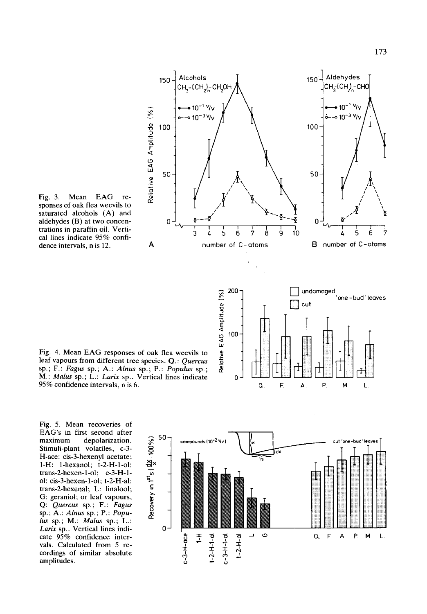

**--** 200-

E < c~ 100

-r "r ~

 $\frac{1}{\gamma}$   $\frac{1}{\gamma}$   $\frac{1}{\gamma}$   $\frac{1}{\gamma}$ 

Fig. 3. Mean EAG responses of oak flea weevils to saturated alcohols (A) and aldehydes (B) at two concen- 0 trations in paraffin oil. Vertical lines indicate 95% confidence intervals, n is 12. A

Fig. 4. Mean EAG responses of oak flea weevils to leaf vapours from different tree species. Q.: *Quercus*  sp.; F.: *Fagus* sp.; A.: *Alnus* sp.; P.: *Populus* sp.; *M.: Malus* sp.; L.: *Larix* sp.. Vertical lines indicate 95% confidence intervals, n is 6.

Fig. 5. Mean recoveries of EAG's in first second after EXC 3 in this scool and the depolarization.<br>
maximum depolarization.  $\begin{matrix} 50 \\ 8 \\ 5 \end{matrix}$ <br>
Stimuli-plant volatiles, c-3-<br>
H-ace: cis-3-hexenyl acetate;<br>
1-H: 1-hexanol; t-2-H-1-ol:  $\begin{matrix} 50 \\ 1 \end{matrix}$ <br>
trans-2-hexen-1-ol; Stimuli-plant volatiles, c-3-H-ace: cis-3-hexenyl acetate; 1-H: 1-hexanol; t-2-H-1-ol:  $trans-2-hexen-1-ol$ ;  $c-3-H-1$ o1: cis-3-hexen-l-ol; t-2-H-al: trans-2-hexenal; L: linalool; G: geraniol; or leaf vapours, Q: *Quercus* sp.; F.: *Fagus*  sp.; A.: *Alnus* sp.; P.: *Popu- ~*  lus sp.; M.: *Malus* sp.; L.: *Larix* sp.. Vertical lines indi- 0 cate 95% confidence intervals. Calculated from 5 recordings of similar absolute amplitudes.



undamaged

cut

one - bud' leaves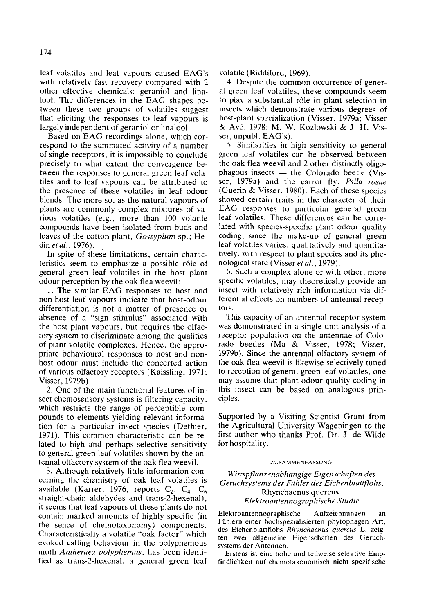leaf volatiles and leaf vapours caused EAG's with relatively fast recovery compared with 2 other effective chemicals: geraniol and linalool. The differences in the EAG shapes between these two groups of volatiles suggest that eliciting the responses to leaf vapours is largely independent of geraniol or linalool.

Based on EAG recordings alone, which correspond to the summated activity of a number of single receptors, it is impossible to conclude precisely to what extent the convergence between the responses to general green leaf volatiles and to leaf vapours can be attributed to the presence of these volatiles in leaf odour blends. The more so, as the natural vapours of plants are commonly complex mixtures of various volatiles (e.g., more than 100 volatile compounds have been isolated from buds and leaves of the cotton plant, *Gossypiurn* sp.; Hedin *etal.,* 1976).

In spite of these limitations, certain characteristics seem to emphasize a possible rôle of general green leaf volatiles in the host plant odour perception by the oak flea weevil:

1. The similar EAG responses to host and non-host leaf vapours indicate that host-odour differentiation is not a matter of presence or absence of a "sign stimulus" associated with the host plant vapours, but requires the olfactory system to discriminate among the qualities of plant volatile complexes. Hence, the appropriate behavioural responses to host and nonhost odour must include the concerted action of various olfactory receptors (Kaissling, 1971; Visser, 1979b).

2. One of the main functional features of insect chemosensory systems is filtering capacity, which restricts the range of perceptible compounds to elements yielding relevant information for a particular insect species (Dethier, 1971). This common characteristic can be related to high and perhaps selective sensitivity to general green leaf volatiles shown by the antennal olfactory system of the oak flea weevil.

3. Although relatively little information concerning the chemistry of oak leaf volatiles is available (Karrer, 1976, reports  $C_2$ ,  $C_4-C_6$ straight-chain aldehydes and trans-2-hexenal), it seems that leaf vapours of these plants do not contain marked amounts of highly specific (in the senee of chemotaxonomy) components. Characteristically a volatile "oak factor" which evoked calling behaviour in the polyphemous moth *Antheraea polyphemus,* has been identified as trans-2-hexenal, a general green leaf volatile (Riddiford, 1969).

4. Despite the common occurrence of general green leaf volatiles, these compounds seem to play a substantial r61e in plant selection in insects which demonstrate various degrees of host-plant specialization (Visser, 1979a; Visser & Av6, 1978; M. W. Kozlowski & J. H. Visser, unpubl. EAG's).

5. Similarities in high sensitivity to general green leaf volatiles can be observed between the oak flea weevil and 2 other distinctly oligophagous insects  $-$  the Colorado beetle (Visser, 1979a) and the carrot fly, *Psila rosae*  (Guerin & Visser, 1980). Each of these species showed certain traits in the character of their EAG responses to particular general green leaf volatiles. These differences can be correlated with species-specific plant odour quality coding, since the make-up of general green leaf volatiles varies, qualitatively and quantitatively, with respect to plant species and its phenological state (Visser *et al.,* 1979).

6. Such a complex alone or with other, more specific volatiles, may theoretically provide an insect with relatively rich information via differential effects on numbers of antennal receptors.

This capacity of an antennal receptor system was demonstrated in a single unit analysis of a receptor population on the antennae of Colorado beetles (Ma & Visser, 1978; Visser, 1979b). Since the antennal olfactory system of the oak flea weevil is likewise selectively tuned to reception of general green leaf volatiles, one may assume that plant-odour quality coding in this insect can be based on analogous principles.

Supported by a Visiting Scientist Grant from the Agricultural University Wageningen to the first author who thanks Prof. Dr. J. de Wilde for hospitality.

#### ZUSAMMENFASSUNG

*Wirtspftanzenabhiingige Eigenschaften des*  Geruchsystems der Fühler des Eichenblattflohs, Rhynchaenus quercus. *Elektroantennographische Studie* 

Elektroantennographische Aufzeichnungen an Fühlern einer hochspezialisierten phytophagen Art, des Eichenblattflohs *Rhynchaenus quercus* L. zeigten zwei allgemeine Eigenschaften des Geruchsystems der Antennen:

Erstens ist eine hohe und teilweise selektive Empfindlichkeit auf chemotaxonomisch nicht spezifische